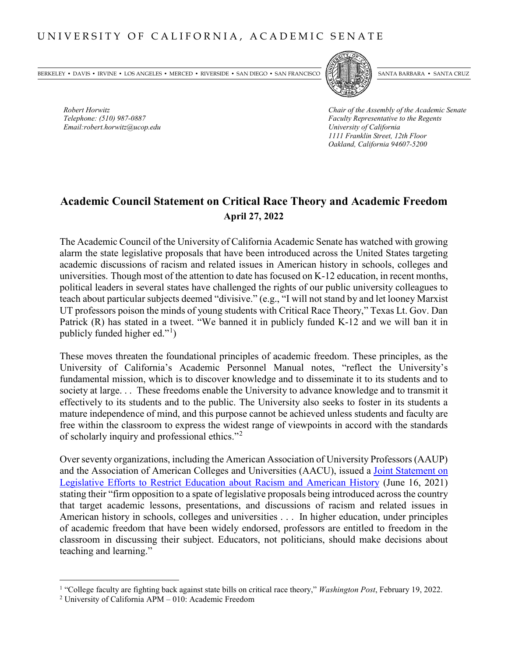BERKELEY • DAVIS • IRVINE • LOS ANGELES • MERCED • RIVERSIDE • SAN DIEGO • SAN FRANCISCO SANTA BARBARA • SANTA BARBARA • SANTA CRUZ

*Email:robert.horwitz@ucop.edu University of California*



*Robert Horwitz Chair of the Assembly of the Academic Senate Telephone: (510) 987-0887 Faculty Representative to the Regents 1111 Franklin Street, 12th Floor Oakland, California 94607-5200*

## **Academic Council Statement on Critical Race Theory and Academic Freedom April 27, 2022**

The Academic Council of the University of California Academic Senate has watched with growing alarm the state legislative proposals that have been introduced across the United States targeting academic discussions of racism and related issues in American history in schools, colleges and universities. Though most of the attention to date has focused on K-12 education, in recent months, political leaders in several states have challenged the rights of our public university colleagues to teach about particular subjects deemed "divisive." (e.g., "I will not stand by and let looney Marxist UT professors poison the minds of young students with Critical Race Theory," Texas Lt. Gov. Dan Patrick (R) has stated in a tweet. "We banned it in publicly funded K-12 and we will ban it in publicly funded higher ed."<sup>[1](#page-0-0)</sup>)

These moves threaten the foundational principles of academic freedom. These principles, as the University of California's Academic Personnel Manual notes, "reflect the University's fundamental mission, which is to discover knowledge and to disseminate it to its students and to society at large. . . These freedoms enable the University to advance knowledge and to transmit it effectively to its students and to the public. The University also seeks to foster in its students a mature independence of mind, and this purpose cannot be achieved unless students and faculty are free within the classroom to express the widest range of viewpoints in accord with the standards of scholarly inquiry and professional ethics."[2](#page-0-1)

Over seventy organizations, including the American Association of University Professors (AAUP) and the Association of American Colleges and Universities (AACU), issued a [Joint Statement on](https://www.aaup.org/news/joint-statement-efforts-restrict-education-about-racism#.YT6FBJ5Kgqw)  Legislative [Efforts to Restrict Education about Racism and American History](https://www.aaup.org/news/joint-statement-efforts-restrict-education-about-racism#.YT6FBJ5Kgqw) (June 16, 2021) stating their "firm opposition to a spate of legislative proposals being introduced across the country that target academic lessons, presentations, and discussions of racism and related issues in American history in schools, colleges and universities . . . In higher education, under principles of academic freedom that have been widely endorsed, professors are entitled to freedom in the classroom in discussing their subject. Educators, not politicians, should make decisions about teaching and learning."

<span id="page-0-0"></span> <sup>1</sup> "College faculty are fighting back against state bills on critical race theory," *Washington Post*, February 19, 2022.

<span id="page-0-1"></span><sup>2</sup> University of California APM – 010: Academic Freedom